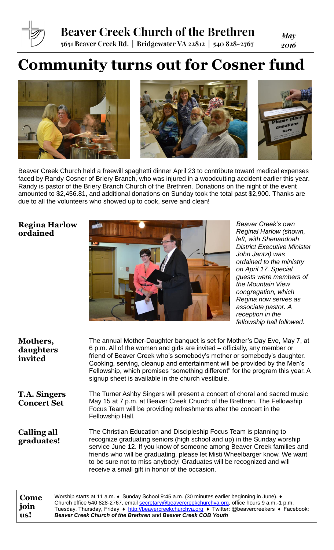

## **Beaver Creek Church of the Brethren**

5651 Beaver Creek Rd. | Bridgewater VA 22812 | 540 828-2767

**May** 2016

# **Community turns out for Cosner fund**







Beaver Creek Church held a freewill spaghetti dinner April 23 to contribute toward medical expenses faced by Randy Cosner of Briery Branch, who was injured in a woodcutting accident earlier this year. Randy is pastor of the Briery Branch Church of the Brethren. Donations on the night of the event amounted to \$2,456.81, and additional donations on Sunday took the total past \$2,900. Thanks are due to all the volunteers who showed up to cook, serve and clean!

## **Regina Harlow ordained**



*Beaver Creek's own Reginal Harlow (shown, left, with Shenandoah District Executive Minister John Jantzi) was ordained to the ministry on April 17. Special guests were members of the Mountain View congregation, which Regina now serves as associate pastor. A reception in the fellowship hall followed.*

| Mothers,<br>daughters<br>invited          | The annual Mother-Daughter banquet is set for Mother's Day Eve, May 7, at<br>6 p.m. All of the women and girls are invited – officially, any member or<br>friend of Beaver Creek who's somebody's mother or somebody's daughter.<br>Cooking, serving, cleanup and entertainment will be provided by the Men's<br>Fellowship, which promises "something different" for the program this year. A<br>signup sheet is available in the church vestibule. |
|-------------------------------------------|------------------------------------------------------------------------------------------------------------------------------------------------------------------------------------------------------------------------------------------------------------------------------------------------------------------------------------------------------------------------------------------------------------------------------------------------------|
| <b>T.A. Singers</b><br><b>Concert Set</b> | The Turner Ashby Singers will present a concert of choral and sacred music<br>May 15 at 7 p.m. at Beaver Creek Church of the Brethren. The Fellowship<br>Focus Team will be providing refreshments after the concert in the<br>Fellowship Hall.                                                                                                                                                                                                      |
| <b>Calling all</b><br>graduates!          | The Christian Education and Discipleship Focus Team is planning to<br>recognize graduating seniors (high school and up) in the Sunday worship<br>service June 12. If you know of someone among Beaver Creek families and<br>friends who will be graduating, please let Misti Wheelbarger know. We want<br>to be sure not to miss anybody! Graduates will be recognized and will<br>receive a small gift in honor of the occasion.                    |

**Come join us!** Worship starts at 11 a.m. ♦ Sunday School 9:45 a.m. (30 minutes earlier beginning in June). ♦ Church office 540 828-2767, email [secretary@beavercreekchurchva.org,](mailto:secretary@beavercreekchurchva.org) office hours 9 a.m.-1 p.m. Tuesday, Thursday, Friday ♦ [http://beavercreekchurchva.org](http://beavercreekchurchva.org/) ♦ Twitter: @beavercreekers ♦ Facebook: *Beaver Creek Church of the Brethren* and *Beaver Creek COB Youth*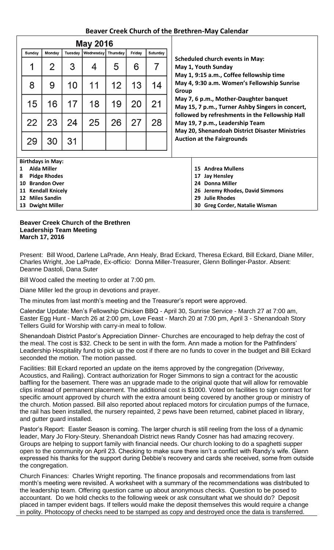## **Beaver Creek Church of the Brethren-May Calendar**

| <b>May 2016</b>           |                          |         |           |          |        |                                    |                                                                                                                                                                                                                                                                 |  |  |  |
|---------------------------|--------------------------|---------|-----------|----------|--------|------------------------------------|-----------------------------------------------------------------------------------------------------------------------------------------------------------------------------------------------------------------------------------------------------------------|--|--|--|
| Sunday                    | Monday                   | Tuesday | Wednesday | Thursday | Friday | Saturday                           |                                                                                                                                                                                                                                                                 |  |  |  |
| 1                         | 2                        | 3       | 4         | 5        | 6      | 7                                  | <b>Scheduled church events in May:</b><br>May 1, Youth Sunday<br>May 1, 9:15 a.m., Coffee fellowship time<br>May 4, 9:30 a.m. Women's Fellowship Sunrise<br>Group<br>May 7, 6 p.m., Mother-Daughter banquet<br>May 15, 7 p.m., Turner Ashby Singers in concert, |  |  |  |
| 8                         | 9                        | 10      | 11        | 12       | 13     | 14                                 |                                                                                                                                                                                                                                                                 |  |  |  |
| 15                        | 16                       | 17      | 18        | 19       | 20     | 21                                 |                                                                                                                                                                                                                                                                 |  |  |  |
| 22                        | 23                       | 24      | 25        | 26       | 27     | 28                                 | followed by refreshments in the Fellowship Hall<br>May 19, 7 p.m., Leadership Team<br>May 20, Shenandoah District Disaster Ministries                                                                                                                           |  |  |  |
| 29                        | 30                       | 31      |           |          |        |                                    | <b>Auction at the Fairgrounds</b>                                                                                                                                                                                                                               |  |  |  |
|                           | <b>Birthdays in May:</b> |         |           |          |        |                                    |                                                                                                                                                                                                                                                                 |  |  |  |
| $\mathbf 1$               | <b>Alda Miller</b>       |         |           |          |        | <b>Andrea Mullens</b><br>15        |                                                                                                                                                                                                                                                                 |  |  |  |
| 8                         | <b>Pidge Rhodes</b>      |         |           |          |        | <b>Jay Hensley</b><br>17           |                                                                                                                                                                                                                                                                 |  |  |  |
| <b>Brandon Over</b><br>10 |                          |         |           |          |        |                                    | <b>Donna Miller</b><br>24                                                                                                                                                                                                                                       |  |  |  |
| 11                        | <b>Kendall Knicely</b>   |         |           |          |        | Jeremy Rhodes, David Simmons<br>26 |                                                                                                                                                                                                                                                                 |  |  |  |
| <b>Miles Sandin</b><br>12 |                          |         |           |          |        |                                    | <b>Julie Rhodes</b><br>29                                                                                                                                                                                                                                       |  |  |  |
| 13 Dwight Miller          |                          |         |           |          |        |                                    | <b>Greg Corder, Natalie Wisman</b><br>30                                                                                                                                                                                                                        |  |  |  |

#### **Beaver Creek Church of the Brethren Leadership Team Meeting March 17, 2016**

Present: Bill Wood, Darlene LaPrade, Ann Healy, Brad Eckard, Theresa Eckard, Bill Eckard, Diane Miller, Charles Wright, Joe LaPrade, Ex-officio: Donna Miller-Treasurer, Glenn Bollinger-Pastor. Absent: Deanne Dastoli, Dana Suter

Bill Wood called the meeting to order at 7:00 pm.

Diane Miller led the group in devotions and prayer.

The minutes from last month's meeting and the Treasurer's report were approved.

Calendar Update: Men's Fellowship Chicken BBQ - April 30, Sunrise Service - March 27 at 7:00 am, Easter Egg Hunt - March 26 at 2:00 pm, Love Feast - March 20 at 7:00 pm, April 3 - Shenandoah Story Tellers Guild for Worship with carry-in meal to follow.

Shenandoah District Pastor's Appreciation Dinner- Churches are encouraged to help defray the cost of the meal. The cost is \$32. Check to be sent in with the form. Ann made a motion for the Pathfinders' Leadership Hospitality fund to pick up the cost if there are no funds to cover in the budget and Bill Eckard seconded the motion. The motion passed.

Facilities: Bill Eckard reported an update on the items approved by the congregation (Driveway, Acoustics, and Railing). Contract authorization for Roger Simmons to sign a contract for the acoustic baffling for the basement. There was an upgrade made to the original quote that will allow for removable clips instead of permanent placement. The additional cost is \$1000. Voted on facilities to sign contract for specific amount approved by church with the extra amount being covered by another group or ministry of the church. Motion passed. Bill also reported about replaced motors for circulation pumps of the furnace, the rail has been installed, the nursery repainted, 2 pews have been returned, cabinet placed in library, and gutter guard installed.

Pastor's Report: Easter Season is coming. The larger church is still reeling from the loss of a dynamic leader, Mary Jo Flory-Steury. Shenandoah District news Randy Cosner has had amazing recovery. Groups are helping to support family with financial needs. Our church looking to do a spaghetti supper open to the community on April 23. Checking to make sure there isn't a conflict with Randy's wife. Glenn expressed his thanks for the support during Debbie's recovery and cards she received, some from outside the congregation.

Church Finances: Charles Wright reporting. The finance proposals and recommendations from last month's meeting were revisited. A worksheet with a summary of the recommendations was distributed to the leadership team. Offering question came up about anonymous checks. Question to be posed to accountant. Do we hold checks to the following week or ask consultant what we should do? Deposit placed in tamper evident bags. If tellers would make the deposit themselves this would require a change in polity. Photocopy of checks need to be stamped as copy and destroyed once the data is transferred.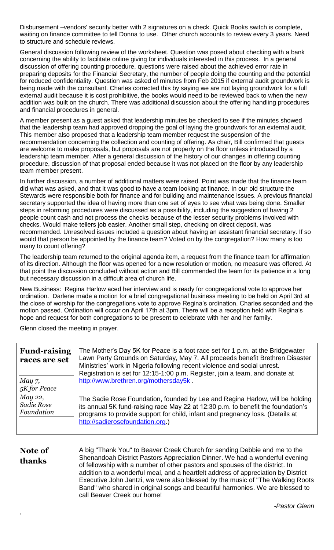Disbursement –vendors' security better with 2 signatures on a check. Quick Books switch is complete, waiting on finance committee to tell Donna to use. Other church accounts to review every 3 years. Need to structure and schedule reviews.

General discussion following review of the worksheet. Question was posed about checking with a bank concerning the ability to facilitate online giving for individuals interested in this process. In a general discussion of offering counting procedure, questions were raised about the achieved error rate in preparing deposits for the Financial Secretary, the number of people doing the counting and the potential for reduced confidentiality. Question was asked of minutes from Feb 2015 if external audit groundwork is being made with the consultant. Charles corrected this by saying we are not laying groundwork for a full external audit because it is cost prohibitive, the books would need to be reviewed back to when the new addition was built on the church. There was additional discussion about the offering handling procedures and financial procedures in general.

A member present as a guest asked that leadership minutes be checked to see if the minutes showed that the leadership team had approved dropping the goal of laying the groundwork for an external audit. This member also proposed that a leadership team member request the suspension of the recommendation concerning the collection and counting of offering. As chair, Bill confirmed that guests are welcome to make proposals, but proposals are not properly on the floor unless introduced by a leadership team member. After a general discussion of the history of our changes in offering counting procedure, discussion of that proposal ended because it was not placed on the floor by any leadership team member present.

In further discussion, a number of additional matters were raised. Point was made that the finance team did what was asked, and that it was good to have a team looking at finance. In our old structure the Stewards were responsible both for finance and for building and maintenance issues. A previous financial secretary supported the idea of having more than one set of eyes to see what was being done. Smaller steps in reforming procedures were discussed as a possibility, including the suggestion of having 2 people count cash and not process the checks because of the lesser security problems involved with checks. Would make tellers job easier. Another small step, checking on direct deposit, was recommended. Unresolved issues included a question about having an assistant financial secretary. If so would that person be appointed by the finance team? Voted on by the congregation? How many is too many to count offering?

The leadership team returned to the original agenda item, a request from the finance team for affirmation of its direction. Although the floor was opened for a new resolution or motion, no measure was offered. At that point the discussion concluded without action and Bill commended the team for its patience in a long but necessary discussion in a difficult area of church life.

New Business: Regina Harlow aced her interview and is ready for congregational vote to approve her ordination. Darlene made a motion for a brief congregational business meeting to be held on April 3rd at the close of worship for the congregations vote to approve Regina's ordination. Charles seconded and the motion passed. Ordination will occur on April 17th at 3pm. There will be a reception held with Regina's hope and request for both congregations to be present to celebrate with her and her family.

Glenn closed the meeting in prayer.

| <b>Fund-raising</b><br>races are set | The Mother's Day 5K for Peace is a foot race set for 1 p.m. at the Bridgewater<br>Lawn Party Grounds on Saturday, May 7. All proceeds benefit Brethren Disaster<br>Ministries' work in Nigeria following recent violence and social unrest.<br>Registration is set for 12:15-1:00 p.m. Register, join a team, and donate at                                                                                                                                                                                                                      |
|--------------------------------------|--------------------------------------------------------------------------------------------------------------------------------------------------------------------------------------------------------------------------------------------------------------------------------------------------------------------------------------------------------------------------------------------------------------------------------------------------------------------------------------------------------------------------------------------------|
| May 7,<br>5K for Peace               | http://www.brethren.org/mothersday5k.                                                                                                                                                                                                                                                                                                                                                                                                                                                                                                            |
| May 22,<br>Sadie Rose<br>Foundation  | The Sadie Rose Foundation, founded by Lee and Regina Harlow, will be holding<br>its annual 5K fund-raising race May 22 at 12:30 p.m. to benefit the foundation's<br>programs to provide support for child, infant and pregnancy loss. (Details at<br>http://sadierosefoundation.org.)                                                                                                                                                                                                                                                            |
| Note of<br>thanks                    | A big "Thank You" to Beaver Creek Church for sending Debbie and me to the<br>Shenandoah District Pastors Appreciation Dinner. We had a wonderful evening<br>of fellowship with a number of other pastors and spouses of the district. In<br>addition to a wonderful meal, and a heartfelt address of appreciation by District<br>Executive John Jantzi, we were also blessed by the music of "The Walking Roots"<br>Band" who shared in original songs and beautiful harmonies. We are blessed to<br>call Beaver Creek our home!<br>Doctor Clopp |